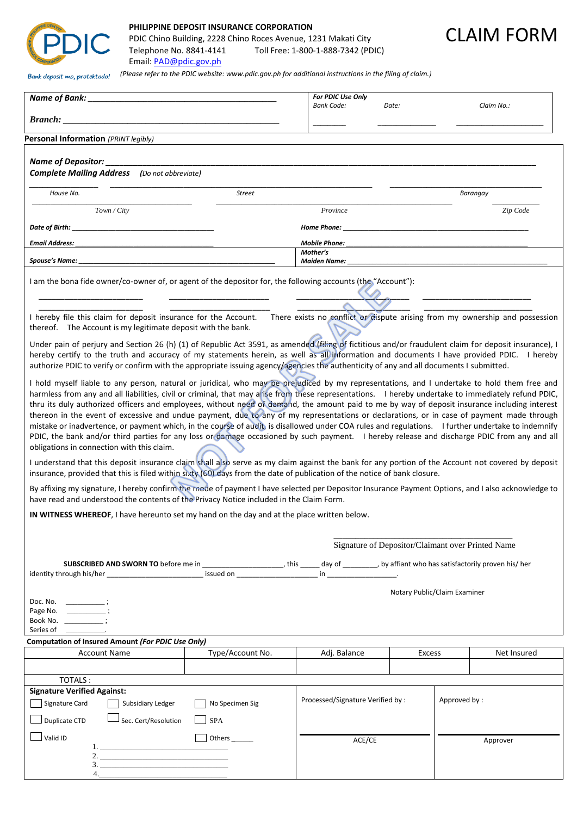

## **PHILIPPINE DEPOSIT INSURANCE CORPORATION**

PDIC Chino Building, 2228 Chino Roces Avenue, 1231 Makati City Telephone No. 8841-4141 Toll Free: 1-800-1-888-7342 (PDIC) Email: [PAD@pdic.gov.ph](mailto:PAD@pdic.gov.ph)



| Bank deposit mo, protektado!                                                                                                                                                                                                                                                                                                                                                                                                                                                                                                                                                                                                                                                                                                                                                                                                                                                                                                                         | (Please refer to the PDIC website: www.pdic.gov.ph for additional instructions in the filing of claim.) |                                                  |                              |            |             |  |
|------------------------------------------------------------------------------------------------------------------------------------------------------------------------------------------------------------------------------------------------------------------------------------------------------------------------------------------------------------------------------------------------------------------------------------------------------------------------------------------------------------------------------------------------------------------------------------------------------------------------------------------------------------------------------------------------------------------------------------------------------------------------------------------------------------------------------------------------------------------------------------------------------------------------------------------------------|---------------------------------------------------------------------------------------------------------|--------------------------------------------------|------------------------------|------------|-------------|--|
|                                                                                                                                                                                                                                                                                                                                                                                                                                                                                                                                                                                                                                                                                                                                                                                                                                                                                                                                                      | For PDIC Use Only<br><b>Bank Code:</b>                                                                  | Date:                                            |                              | Claim No.: |             |  |
|                                                                                                                                                                                                                                                                                                                                                                                                                                                                                                                                                                                                                                                                                                                                                                                                                                                                                                                                                      |                                                                                                         |                                                  |                              |            |             |  |
| Personal Information (PRINT legibly)                                                                                                                                                                                                                                                                                                                                                                                                                                                                                                                                                                                                                                                                                                                                                                                                                                                                                                                 |                                                                                                         |                                                  |                              |            |             |  |
| Name of Depositor: _____________<br><b>Complete Mailing Address</b> (Do not abbreviate)                                                                                                                                                                                                                                                                                                                                                                                                                                                                                                                                                                                                                                                                                                                                                                                                                                                              |                                                                                                         |                                                  |                              |            |             |  |
| House No.                                                                                                                                                                                                                                                                                                                                                                                                                                                                                                                                                                                                                                                                                                                                                                                                                                                                                                                                            | Street                                                                                                  |                                                  |                              |            | Barangay    |  |
| Town / City                                                                                                                                                                                                                                                                                                                                                                                                                                                                                                                                                                                                                                                                                                                                                                                                                                                                                                                                          |                                                                                                         | Province                                         |                              |            | Zip Code    |  |
|                                                                                                                                                                                                                                                                                                                                                                                                                                                                                                                                                                                                                                                                                                                                                                                                                                                                                                                                                      |                                                                                                         |                                                  |                              |            |             |  |
| <b>Email Address:</b>                                                                                                                                                                                                                                                                                                                                                                                                                                                                                                                                                                                                                                                                                                                                                                                                                                                                                                                                |                                                                                                         | <b>Mobile Phone:</b>                             |                              |            |             |  |
| Spouse's Name: _                                                                                                                                                                                                                                                                                                                                                                                                                                                                                                                                                                                                                                                                                                                                                                                                                                                                                                                                     |                                                                                                         | Mother's                                         |                              |            |             |  |
| I am the bona fide owner/co-owner of, or agent of the depositor for, the following accounts (the "Account"):                                                                                                                                                                                                                                                                                                                                                                                                                                                                                                                                                                                                                                                                                                                                                                                                                                         |                                                                                                         |                                                  |                              |            |             |  |
| I hereby file this claim for deposit insurance for the Account. There exists no conflict or dispute arising from my ownership and possession<br>thereof. The Account is my legitimate deposit with the bank.                                                                                                                                                                                                                                                                                                                                                                                                                                                                                                                                                                                                                                                                                                                                         |                                                                                                         |                                                  |                              |            |             |  |
| Under pain of perjury and Section 26 (h) (1) of Republic Act 3591, as amended (filing of fictitious and/or fraudulent claim for deposit insurance), I<br>hereby certify to the truth and accuracy of my statements herein, as well as all information and documents I have provided PDIC. I hereby<br>authorize PDIC to verify or confirm with the appropriate issuing agency/agencies the authenticity of any and all documents I submitted.                                                                                                                                                                                                                                                                                                                                                                                                                                                                                                        |                                                                                                         |                                                  |                              |            |             |  |
| I hold myself liable to any person, natural or juridical, who may be prejudiced by my representations, and I undertake to hold them free and<br>harmless from any and all liabilities, civil or criminal, that may arise from these representations. I hereby undertake to immediately refund PDIC,<br>thru its duly authorized officers and employees, without need of demand, the amount paid to me by way of deposit insurance including interest<br>thereon in the event of excessive and undue payment, due to any of my representations or declarations, or in case of payment made through<br>mistake or inadvertence, or payment which, in the course of audit, is disallowed under COA rules and regulations. I further undertake to indemnify<br>PDIC, the bank and/or third parties for any loss or damage occasioned by such payment. I hereby release and discharge PDIC from any and all<br>obligations in connection with this claim. |                                                                                                         |                                                  |                              |            |             |  |
| I understand that this deposit insurance claim shall also serve as my claim against the bank for any portion of the Account not covered by deposit<br>insurance, provided that this is filed within sixty (60) days from the date of publication of the notice of bank closure.                                                                                                                                                                                                                                                                                                                                                                                                                                                                                                                                                                                                                                                                      |                                                                                                         |                                                  |                              |            |             |  |
| By affixing my signature, I hereby confirm the mode of payment I have selected per Depositor Insurance Payment Options, and I also acknowledge to<br>have read and understood the contents of the Privacy Notice included in the Claim Form.                                                                                                                                                                                                                                                                                                                                                                                                                                                                                                                                                                                                                                                                                                         |                                                                                                         |                                                  |                              |            |             |  |
| IN WITNESS WHEREOF, I have hereunto set my hand on the day and at the place written below.                                                                                                                                                                                                                                                                                                                                                                                                                                                                                                                                                                                                                                                                                                                                                                                                                                                           |                                                                                                         |                                                  |                              |            |             |  |
|                                                                                                                                                                                                                                                                                                                                                                                                                                                                                                                                                                                                                                                                                                                                                                                                                                                                                                                                                      |                                                                                                         |                                                  |                              |            |             |  |
| Signature of Depositor/Claimant over Printed Name                                                                                                                                                                                                                                                                                                                                                                                                                                                                                                                                                                                                                                                                                                                                                                                                                                                                                                    |                                                                                                         |                                                  |                              |            |             |  |
|                                                                                                                                                                                                                                                                                                                                                                                                                                                                                                                                                                                                                                                                                                                                                                                                                                                                                                                                                      |                                                                                                         |                                                  |                              |            |             |  |
| Doc. No.<br>$\overline{\phantom{a}}$ :<br>Page No.<br><u> La Carlo de la C</u><br>Book No. ____________;<br>Series of                                                                                                                                                                                                                                                                                                                                                                                                                                                                                                                                                                                                                                                                                                                                                                                                                                |                                                                                                         |                                                  | Notary Public/Claim Examiner |            |             |  |
| Computation of Insured Amount (For PDIC Use Only)<br><b>Account Name</b>                                                                                                                                                                                                                                                                                                                                                                                                                                                                                                                                                                                                                                                                                                                                                                                                                                                                             |                                                                                                         |                                                  |                              |            |             |  |
|                                                                                                                                                                                                                                                                                                                                                                                                                                                                                                                                                                                                                                                                                                                                                                                                                                                                                                                                                      | Type/Account No.                                                                                        | Adj. Balance                                     | Excess                       |            | Net Insured |  |
| TOTALS:                                                                                                                                                                                                                                                                                                                                                                                                                                                                                                                                                                                                                                                                                                                                                                                                                                                                                                                                              |                                                                                                         |                                                  |                              |            |             |  |
| <b>Signature Verified Against:</b><br>Signature Card<br>Subsidiary Ledger                                                                                                                                                                                                                                                                                                                                                                                                                                                                                                                                                                                                                                                                                                                                                                                                                                                                            | No Specimen Sig                                                                                         | Processed/Signature Verified by:<br>Approved by: |                              |            |             |  |
| Sec. Cert/Resolution<br>Duplicate CTD                                                                                                                                                                                                                                                                                                                                                                                                                                                                                                                                                                                                                                                                                                                                                                                                                                                                                                                | <b>SPA</b>                                                                                              |                                                  |                              |            |             |  |
| Valid ID                                                                                                                                                                                                                                                                                                                                                                                                                                                                                                                                                                                                                                                                                                                                                                                                                                                                                                                                             | Others ______                                                                                           | ACE/CE<br>Approver                               |                              |            |             |  |
|                                                                                                                                                                                                                                                                                                                                                                                                                                                                                                                                                                                                                                                                                                                                                                                                                                                                                                                                                      |                                                                                                         |                                                  |                              |            |             |  |
| 4.                                                                                                                                                                                                                                                                                                                                                                                                                                                                                                                                                                                                                                                                                                                                                                                                                                                                                                                                                   |                                                                                                         |                                                  |                              |            |             |  |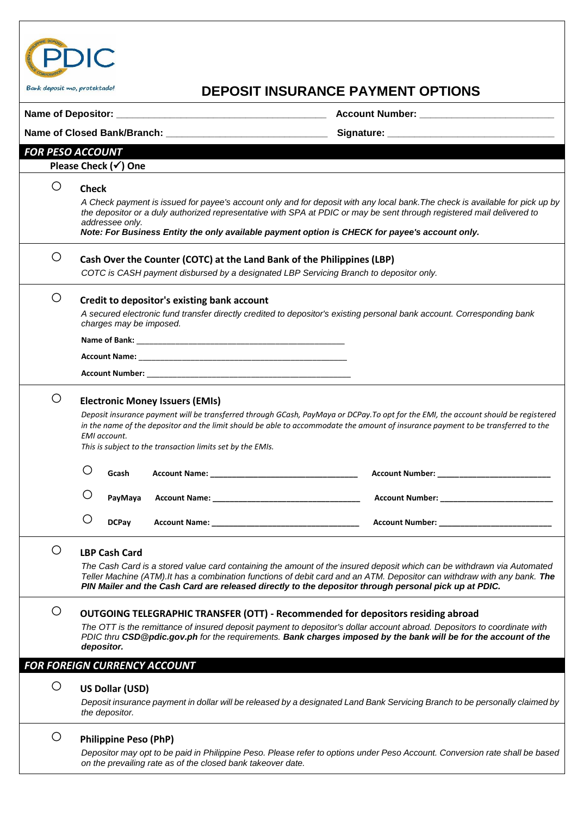

## Bark deposit mo, protektado!<br> **DEPOSIT INSURANCE PAYMENT OPTIONS**

|   |                                                                                                                                                                                                                                                                                                                                                                                              |                                                                                                                                                                                                                               | Account Number: ____________________________                                                                                                                                                                                                                                                                                                                |  |  |  |
|---|----------------------------------------------------------------------------------------------------------------------------------------------------------------------------------------------------------------------------------------------------------------------------------------------------------------------------------------------------------------------------------------------|-------------------------------------------------------------------------------------------------------------------------------------------------------------------------------------------------------------------------------|-------------------------------------------------------------------------------------------------------------------------------------------------------------------------------------------------------------------------------------------------------------------------------------------------------------------------------------------------------------|--|--|--|
|   |                                                                                                                                                                                                                                                                                                                                                                                              |                                                                                                                                                                                                                               |                                                                                                                                                                                                                                                                                                                                                             |  |  |  |
|   | <b>FOR PESO ACCOUNT</b>                                                                                                                                                                                                                                                                                                                                                                      |                                                                                                                                                                                                                               |                                                                                                                                                                                                                                                                                                                                                             |  |  |  |
|   | Please Check $(\checkmark)$ One                                                                                                                                                                                                                                                                                                                                                              |                                                                                                                                                                                                                               |                                                                                                                                                                                                                                                                                                                                                             |  |  |  |
| Ő | <b>Check</b><br>A Check payment is issued for payee's account only and for deposit with any local bank. The check is available for pick up by<br>the depositor or a duly authorized representative with SPA at PDIC or may be sent through registered mail delivered to<br>addressee only.<br>Note: For Business Entity the only available payment option is CHECK for payee's account only. |                                                                                                                                                                                                                               |                                                                                                                                                                                                                                                                                                                                                             |  |  |  |
| O | Cash Over the Counter (COTC) at the Land Bank of the Philippines (LBP)<br>COTC is CASH payment disbursed by a designated LBP Servicing Branch to depositor only.                                                                                                                                                                                                                             |                                                                                                                                                                                                                               |                                                                                                                                                                                                                                                                                                                                                             |  |  |  |
| O | Credit to depositor's existing bank account<br>A secured electronic fund transfer directly credited to depositor's existing personal bank account. Corresponding bank<br>charges may be imposed.                                                                                                                                                                                             |                                                                                                                                                                                                                               |                                                                                                                                                                                                                                                                                                                                                             |  |  |  |
|   |                                                                                                                                                                                                                                                                                                                                                                                              |                                                                                                                                                                                                                               |                                                                                                                                                                                                                                                                                                                                                             |  |  |  |
|   |                                                                                                                                                                                                                                                                                                                                                                                              |                                                                                                                                                                                                                               |                                                                                                                                                                                                                                                                                                                                                             |  |  |  |
|   |                                                                                                                                                                                                                                                                                                                                                                                              |                                                                                                                                                                                                                               |                                                                                                                                                                                                                                                                                                                                                             |  |  |  |
| O | <b>EMI</b> account.                                                                                                                                                                                                                                                                                                                                                                          | <b>Electronic Money Issuers (EMIs)</b><br>This is subject to the transaction limits set by the EMIs.                                                                                                                          | Deposit insurance payment will be transferred through GCash, PayMaya or DCPay.To opt for the EMI, the account should be registered<br>in the name of the depositor and the limit should be able to accommodate the amount of insurance payment to be transferred to the                                                                                     |  |  |  |
|   | O<br>Gcash                                                                                                                                                                                                                                                                                                                                                                                   |                                                                                                                                                                                                                               |                                                                                                                                                                                                                                                                                                                                                             |  |  |  |
|   | Ő<br>PayMaya                                                                                                                                                                                                                                                                                                                                                                                 |                                                                                                                                                                                                                               |                                                                                                                                                                                                                                                                                                                                                             |  |  |  |
|   | O<br><b>DCPay</b>                                                                                                                                                                                                                                                                                                                                                                            | Account Name: The contract of the contract of the contract of the contract of the contract of the contract of the contract of the contract of the contract of the contract of the contract of the contract of the contract of | <b>Account Number:</b> Account 2014                                                                                                                                                                                                                                                                                                                         |  |  |  |
| O | <b>LBP Cash Card</b>                                                                                                                                                                                                                                                                                                                                                                         |                                                                                                                                                                                                                               | The Cash Card is a stored value card containing the amount of the insured deposit which can be withdrawn via Automated<br>Teller Machine (ATM). It has a combination functions of debit card and an ATM. Depositor can withdraw with any bank. The<br>PIN Mailer and the Cash Card are released directly to the depositor through personal pick up at PDIC. |  |  |  |
| O | <b>OUTGOING TELEGRAPHIC TRANSFER (OTT) - Recommended for depositors residing abroad</b><br>The OTT is the remittance of insured deposit payment to depositor's dollar account abroad. Depositors to coordinate with<br>PDIC thru CSD@pdic.gov.ph for the requirements. Bank charges imposed by the bank will be for the account of the<br>depositor.                                         |                                                                                                                                                                                                                               |                                                                                                                                                                                                                                                                                                                                                             |  |  |  |
|   | <b>FOR FOREIGN CURRENCY ACCOUNT</b>                                                                                                                                                                                                                                                                                                                                                          |                                                                                                                                                                                                                               |                                                                                                                                                                                                                                                                                                                                                             |  |  |  |
| O | <b>US Dollar (USD)</b><br>the depositor.                                                                                                                                                                                                                                                                                                                                                     |                                                                                                                                                                                                                               | Deposit insurance payment in dollar will be released by a designated Land Bank Servicing Branch to be personally claimed by                                                                                                                                                                                                                                 |  |  |  |
| O | <b>Philippine Peso (PhP)</b>                                                                                                                                                                                                                                                                                                                                                                 | on the prevailing rate as of the closed bank takeover date.                                                                                                                                                                   | Depositor may opt to be paid in Philippine Peso. Please refer to options under Peso Account. Conversion rate shall be based                                                                                                                                                                                                                                 |  |  |  |